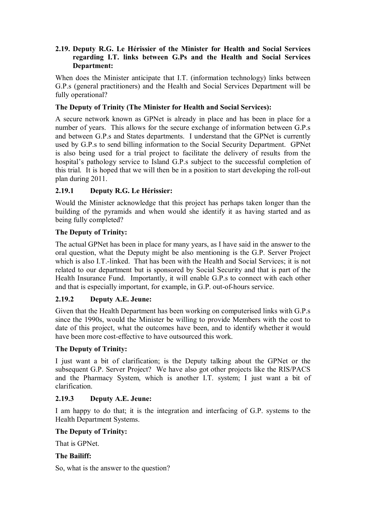## **2.19. Deputy R.G. Le Hérissier of the Minister for Health and Social Services regarding I.T. links between G.Ps and the Health and Social Services Department:**

When does the Minister anticipate that I.T. (information technology) links between G.P.s (general practitioners) and the Health and Social Services Department will be fully operational?

## **The Deputy of Trinity (The Minister for Health and Social Services):**

A secure network known as GPNet is already in place and has been in place for a number of years. This allows for the secure exchange of information between G.P.s and between G.P.s and States departments. I understand that the GPNet is currently used by G.P.s to send billing information to the Social Security Department. GPNet is also being used for a trial project to facilitate the delivery of results from the hospital's pathology service to Island G.P.s subject to the successful completion of this trial. It is hoped that we will then be in a position to start developing the roll-out plan during 2011.

# **2.19.1 Deputy R.G. Le Hérissier:**

Would the Minister acknowledge that this project has perhaps taken longer than the building of the pyramids and when would she identify it as having started and as being fully completed?

## **The Deputy of Trinity:**

The actual GPNet has been in place for many years, as I have said in the answer to the oral question, what the Deputy might be also mentioning is the G.P. Server Project which is also I.T.-linked. That has been with the Health and Social Services; it is not related to our department but is sponsored by Social Security and that is part of the Health Insurance Fund. Importantly, it will enable G.P.s to connect with each other and that is especially important, for example, in G.P. out-of-hours service.

# **2.19.2 Deputy A.E. Jeune:**

Given that the Health Department has been working on computerised links with G.P.s since the 1990s, would the Minister be willing to provide Members with the cost to date of this project, what the outcomes have been, and to identify whether it would have been more cost-effective to have outsourced this work.

## **The Deputy of Trinity:**

I just want a bit of clarification; is the Deputy talking about the GPNet or the subsequent G.P. Server Project? We have also got other projects like the RIS/PACS and the Pharmacy System, which is another I.T. system; I just want a bit of clarification.

## **2.19.3 Deputy A.E. Jeune:**

I am happy to do that; it is the integration and interfacing of G.P. systems to the Health Department Systems.

## **The Deputy of Trinity:**

That is GPNet.

## **The Bailiff:**

So, what is the answer to the question?